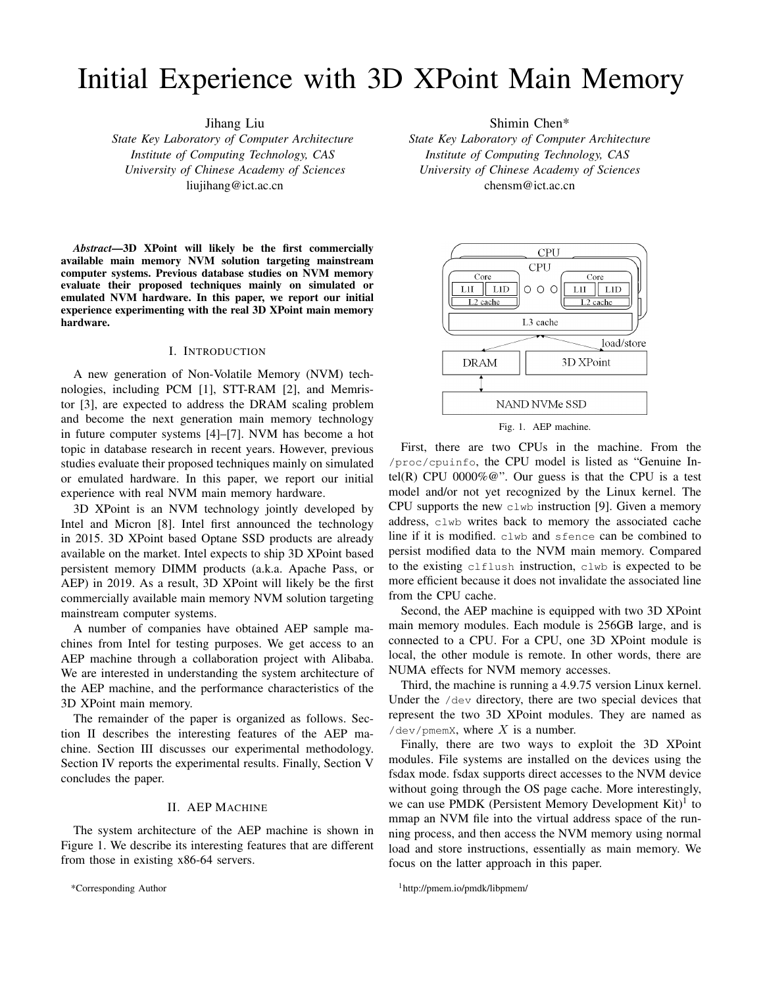# Initial Experience with 3D XPoint Main Memory

Jihang Liu

*State Key Laboratory of Computer Architecture Institute of Computing Technology, CAS University of Chinese Academy of Sciences* liujihang@ict.ac.cn

*Abstract*—3D XPoint will likely be the first commercially available main memory NVM solution targeting mainstream computer systems. Previous database studies on NVM memory evaluate their proposed techniques mainly on simulated or emulated NVM hardware. In this paper, we report our initial experience experimenting with the real 3D XPoint main memory hardware.

#### I. INTRODUCTION

A new generation of Non-Volatile Memory (NVM) technologies, including PCM [1], STT-RAM [2], and Memristor [3], are expected to address the DRAM scaling problem and become the next generation main memory technology in future computer systems [4]–[7]. NVM has become a hot topic in database research in recent years. However, previous studies evaluate their proposed techniques mainly on simulated or emulated hardware. In this paper, we report our initial experience with real NVM main memory hardware.

3D XPoint is an NVM technology jointly developed by Intel and Micron [8]. Intel first announced the technology in 2015. 3D XPoint based Optane SSD products are already available on the market. Intel expects to ship 3D XPoint based persistent memory DIMM products (a.k.a. Apache Pass, or AEP) in 2019. As a result, 3D XPoint will likely be the first commercially available main memory NVM solution targeting mainstream computer systems.

A number of companies have obtained AEP sample machines from Intel for testing purposes. We get access to an AEP machine through a collaboration project with Alibaba. We are interested in understanding the system architecture of the AEP machine, and the performance characteristics of the 3D XPoint main memory.

The remainder of the paper is organized as follows. Section II describes the interesting features of the AEP machine. Section III discusses our experimental methodology. Section IV reports the experimental results. Finally, Section V concludes the paper.

## II. AEP MACHINE

The system architecture of the AEP machine is shown in Figure 1. We describe its interesting features that are different from those in existing x86-64 servers.

\*Corresponding Author

Shimin Chen\* *State Key Laboratory of Computer Architecture Institute of Computing Technology, CAS University of Chinese Academy of Sciences* chensm@ict.ac.cn



Fig. 1. AEP machine.

First, there are two CPUs in the machine. From the /proc/cpuinfo, the CPU model is listed as "Genuine Intel(R) CPU 0000% $@$ ". Our guess is that the CPU is a test model and/or not yet recognized by the Linux kernel. The CPU supports the new  $clwb$  instruction [9]. Given a memory address, clwb writes back to memory the associated cache line if it is modified. clwb and sfence can be combined to persist modified data to the NVM main memory. Compared to the existing clflush instruction, clwb is expected to be more efficient because it does not invalidate the associated line from the CPU cache.

Second, the AEP machine is equipped with two 3D XPoint main memory modules. Each module is 256GB large, and is connected to a CPU. For a CPU, one 3D XPoint module is local, the other module is remote. In other words, there are NUMA effects for NVM memory accesses.

Third, the machine is running a 4.9.75 version Linux kernel. Under the /dev directory, there are two special devices that represent the two 3D XPoint modules. They are named as /dev/pmemX, where X is a number.

Finally, there are two ways to exploit the 3D XPoint modules. File systems are installed on the devices using the fsdax mode. fsdax supports direct accesses to the NVM device without going through the OS page cache. More interestingly, we can use PMDK (Persistent Memory Development  $\text{Kit}$ )<sup>1</sup> to mmap an NVM file into the virtual address space of the running process, and then access the NVM memory using normal load and store instructions, essentially as main memory. We focus on the latter approach in this paper.

<sup>1</sup>http://pmem.io/pmdk/libpmem/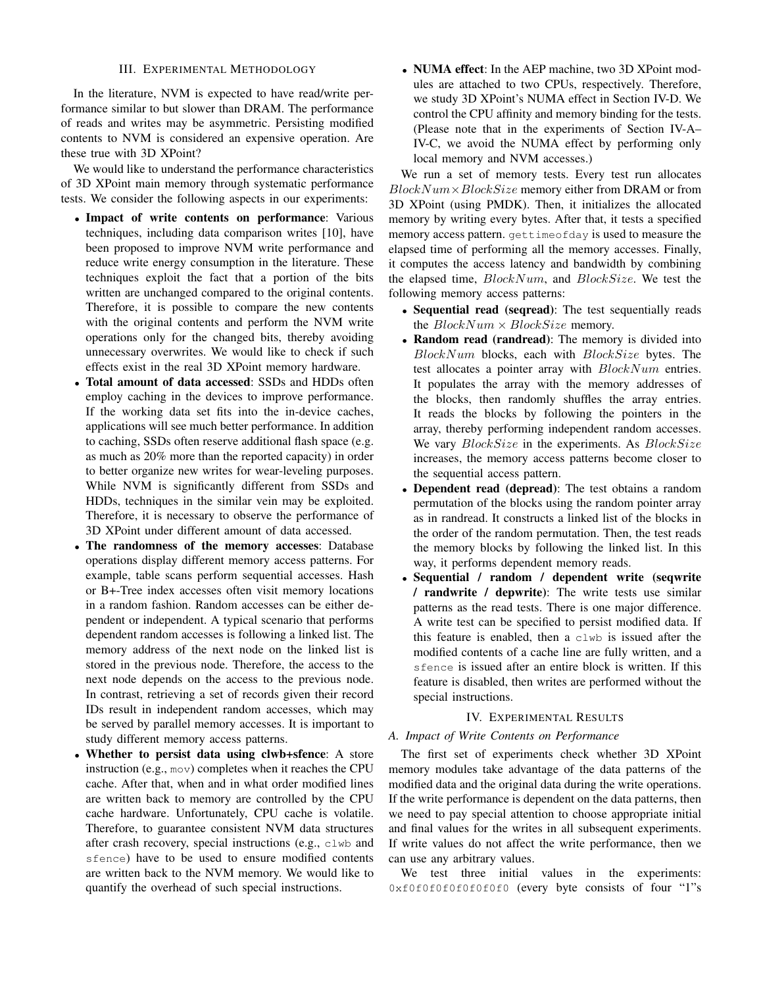# III. EXPERIMENTAL METHODOLOGY

In the literature, NVM is expected to have read/write performance similar to but slower than DRAM. The performance of reads and writes may be asymmetric. Persisting modified contents to NVM is considered an expensive operation. Are these true with 3D XPoint?

We would like to understand the performance characteristics of 3D XPoint main memory through systematic performance tests. We consider the following aspects in our experiments:

- Impact of write contents on performance: Various techniques, including data comparison writes [10], have been proposed to improve NVM write performance and reduce write energy consumption in the literature. These techniques exploit the fact that a portion of the bits written are unchanged compared to the original contents. Therefore, it is possible to compare the new contents with the original contents and perform the NVM write operations only for the changed bits, thereby avoiding unnecessary overwrites. We would like to check if such effects exist in the real 3D XPoint memory hardware.
- Total amount of data accessed: SSDs and HDDs often employ caching in the devices to improve performance. If the working data set fits into the in-device caches, applications will see much better performance. In addition to caching, SSDs often reserve additional flash space (e.g. as much as 20% more than the reported capacity) in order to better organize new writes for wear-leveling purposes. While NVM is significantly different from SSDs and HDDs, techniques in the similar vein may be exploited. Therefore, it is necessary to observe the performance of 3D XPoint under different amount of data accessed.
- The randomness of the memory accesses: Database operations display different memory access patterns. For example, table scans perform sequential accesses. Hash or B+-Tree index accesses often visit memory locations in a random fashion. Random accesses can be either dependent or independent. A typical scenario that performs dependent random accesses is following a linked list. The memory address of the next node on the linked list is stored in the previous node. Therefore, the access to the next node depends on the access to the previous node. In contrast, retrieving a set of records given their record IDs result in independent random accesses, which may be served by parallel memory accesses. It is important to study different memory access patterns.
- Whether to persist data using clwb+sfence: A store instruction (e.g., mov) completes when it reaches the CPU cache. After that, when and in what order modified lines are written back to memory are controlled by the CPU cache hardware. Unfortunately, CPU cache is volatile. Therefore, to guarantee consistent NVM data structures after crash recovery, special instructions (e.g., clwb and sfence) have to be used to ensure modified contents are written back to the NVM memory. We would like to quantify the overhead of such special instructions.

• NUMA effect: In the AEP machine, two 3D XPoint modules are attached to two CPUs, respectively. Therefore, we study 3D XPoint's NUMA effect in Section IV-D. We control the CPU affinity and memory binding for the tests. (Please note that in the experiments of Section IV-A– IV-C, we avoid the NUMA effect by performing only local memory and NVM accesses.)

We run a set of memory tests. Every test run allocates  $BlockNum \times BlockSize$  memory either from DRAM or from 3D XPoint (using PMDK). Then, it initializes the allocated memory by writing every bytes. After that, it tests a specified memory access pattern. gettimeofday is used to measure the elapsed time of performing all the memory accesses. Finally, it computes the access latency and bandwidth by combining the elapsed time, BlockNum, and BlockSize. We test the following memory access patterns:

- Sequential read (seqread): The test sequentially reads the  $BlockNum \times BlockSize$  memory.
- Random read (randread): The memory is divided into BlockNum blocks, each with BlockSize bytes. The test allocates a pointer array with  $BlockNum$  entries. It populates the array with the memory addresses of the blocks, then randomly shuffles the array entries. It reads the blocks by following the pointers in the array, thereby performing independent random accesses. We vary  $BlockSize$  in the experiments. As  $BlockSize$ increases, the memory access patterns become closer to the sequential access pattern.
- **Dependent read (depread):** The test obtains a random permutation of the blocks using the random pointer array as in randread. It constructs a linked list of the blocks in the order of the random permutation. Then, the test reads the memory blocks by following the linked list. In this way, it performs dependent memory reads.
- Sequential / random / dependent write (seqwrite / randwrite / depwrite): The write tests use similar patterns as the read tests. There is one major difference. A write test can be specified to persist modified data. If this feature is enabled, then a clwb is issued after the modified contents of a cache line are fully written, and a sfence is issued after an entire block is written. If this feature is disabled, then writes are performed without the special instructions.

# IV. EXPERIMENTAL RESULTS

# *A. Impact of Write Contents on Performance*

The first set of experiments check whether 3D XPoint memory modules take advantage of the data patterns of the modified data and the original data during the write operations. If the write performance is dependent on the data patterns, then we need to pay special attention to choose appropriate initial and final values for the writes in all subsequent experiments. If write values do not affect the write performance, then we can use any arbitrary values.

We test three initial values in the experiments: 0xf0f0f0f0f0f0f0f0 (every byte consists of four "1"s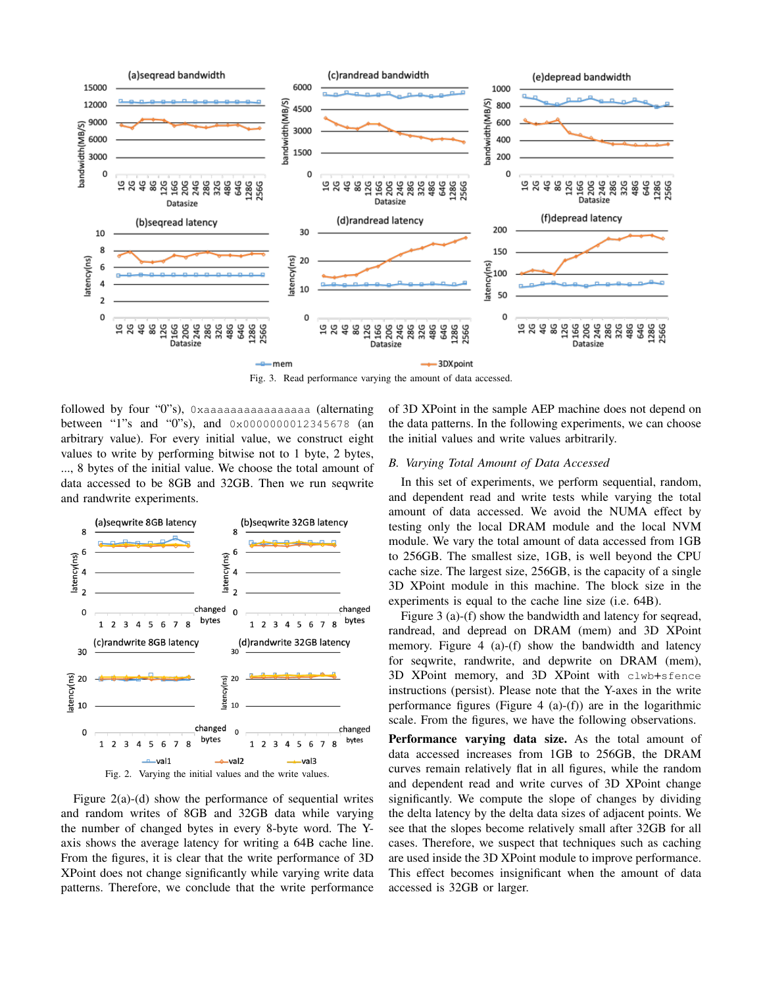

Fig. 3. Read performance varying the amount of data accessed.

followed by four "0"s), 0xaaaaaaaaaaaaaaaaa (alternating between "1"s and "0"s), and 0x0000000012345678 (an arbitrary value). For every initial value, we construct eight values to write by performing bitwise not to 1 byte, 2 bytes, ..., 8 bytes of the initial value. We choose the total amount of data accessed to be 8GB and 32GB. Then we run seqwrite and randwrite experiments.



Figure 2(a)-(d) show the performance of sequential writes and random writes of 8GB and 32GB data while varying the number of changed bytes in every 8-byte word. The Yaxis shows the average latency for writing a 64B cache line. From the figures, it is clear that the write performance of 3D XPoint does not change significantly while varying write data patterns. Therefore, we conclude that the write performance of 3D XPoint in the sample AEP machine does not depend on the data patterns. In the following experiments, we can choose the initial values and write values arbitrarily.

#### *B. Varying Total Amount of Data Accessed*

In this set of experiments, we perform sequential, random, and dependent read and write tests while varying the total amount of data accessed. We avoid the NUMA effect by testing only the local DRAM module and the local NVM module. We vary the total amount of data accessed from 1GB to 256GB. The smallest size, 1GB, is well beyond the CPU cache size. The largest size, 256GB, is the capacity of a single 3D XPoint module in this machine. The block size in the experiments is equal to the cache line size (i.e. 64B).

Figure 3 (a)-(f) show the bandwidth and latency for seqread, randread, and depread on DRAM (mem) and 3D XPoint memory. Figure 4 (a)-(f) show the bandwidth and latency for seqwrite, randwrite, and depwrite on DRAM (mem), 3D XPoint memory, and 3D XPoint with clwb+sfence instructions (persist). Please note that the Y-axes in the write performance figures (Figure 4 (a)-(f)) are in the logarithmic scale. From the figures, we have the following observations.

Performance varying data size. As the total amount of data accessed increases from 1GB to 256GB, the DRAM curves remain relatively flat in all figures, while the random and dependent read and write curves of 3D XPoint change significantly. We compute the slope of changes by dividing the delta latency by the delta data sizes of adjacent points. We see that the slopes become relatively small after 32GB for all cases. Therefore, we suspect that techniques such as caching are used inside the 3D XPoint module to improve performance. This effect becomes insignificant when the amount of data accessed is 32GB or larger.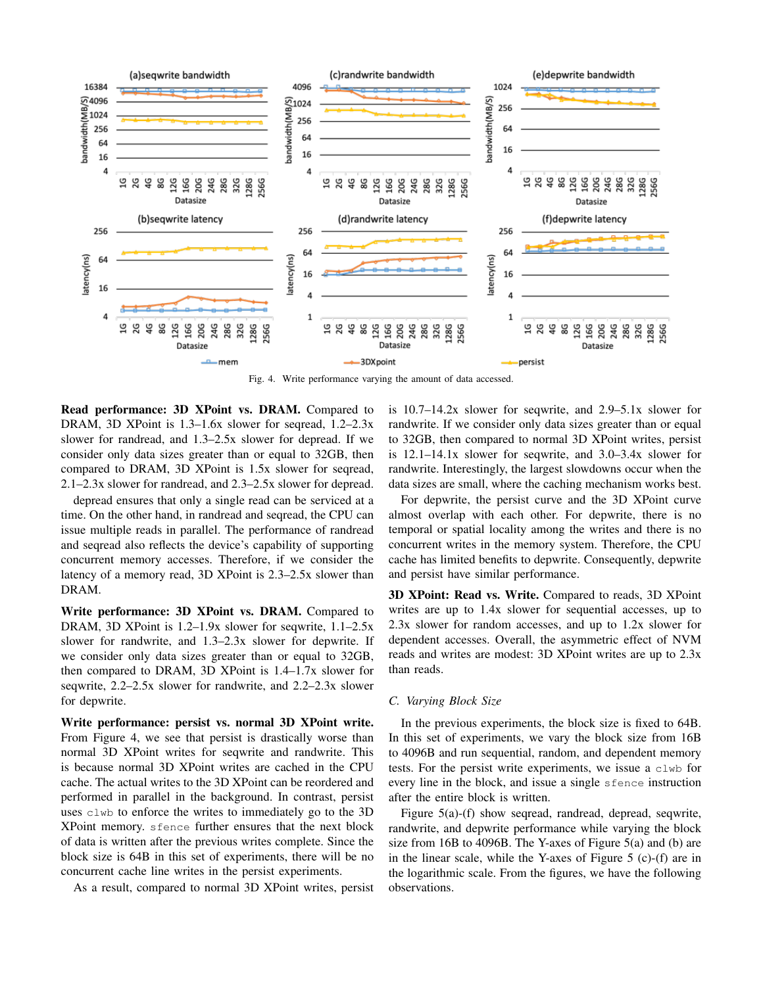

Fig. 4. Write performance varying the amount of data accessed.

Read performance: 3D XPoint vs. DRAM. Compared to DRAM, 3D XPoint is 1.3–1.6x slower for seqread, 1.2–2.3x slower for randread, and 1.3–2.5x slower for depread. If we consider only data sizes greater than or equal to 32GB, then compared to DRAM, 3D XPoint is 1.5x slower for seqread, 2.1–2.3x slower for randread, and 2.3–2.5x slower for depread.

depread ensures that only a single read can be serviced at a time. On the other hand, in randread and seqread, the CPU can issue multiple reads in parallel. The performance of randread and seqread also reflects the device's capability of supporting concurrent memory accesses. Therefore, if we consider the latency of a memory read, 3D XPoint is 2.3–2.5x slower than DRAM.

Write performance: 3D XPoint vs. DRAM. Compared to DRAM, 3D XPoint is 1.2–1.9x slower for seqwrite, 1.1–2.5x slower for randwrite, and 1.3–2.3x slower for depwrite. If we consider only data sizes greater than or equal to 32GB, then compared to DRAM, 3D XPoint is 1.4–1.7x slower for seqwrite, 2.2–2.5x slower for randwrite, and 2.2–2.3x slower for depwrite.

Write performance: persist vs. normal 3D XPoint write. From Figure 4, we see that persist is drastically worse than normal 3D XPoint writes for seqwrite and randwrite. This is because normal 3D XPoint writes are cached in the CPU cache. The actual writes to the 3D XPoint can be reordered and performed in parallel in the background. In contrast, persist uses clwb to enforce the writes to immediately go to the 3D XPoint memory. sfence further ensures that the next block of data is written after the previous writes complete. Since the block size is 64B in this set of experiments, there will be no concurrent cache line writes in the persist experiments.

As a result, compared to normal 3D XPoint writes, persist

is 10.7–14.2x slower for seqwrite, and 2.9–5.1x slower for randwrite. If we consider only data sizes greater than or equal to 32GB, then compared to normal 3D XPoint writes, persist is 12.1–14.1x slower for seqwrite, and 3.0–3.4x slower for randwrite. Interestingly, the largest slowdowns occur when the data sizes are small, where the caching mechanism works best.

For depwrite, the persist curve and the 3D XPoint curve almost overlap with each other. For depwrite, there is no temporal or spatial locality among the writes and there is no concurrent writes in the memory system. Therefore, the CPU cache has limited benefits to depwrite. Consequently, depwrite and persist have similar performance.

3D XPoint: Read vs. Write. Compared to reads, 3D XPoint writes are up to 1.4x slower for sequential accesses, up to 2.3x slower for random accesses, and up to 1.2x slower for dependent accesses. Overall, the asymmetric effect of NVM reads and writes are modest: 3D XPoint writes are up to 2.3x than reads.

## *C. Varying Block Size*

In the previous experiments, the block size is fixed to 64B. In this set of experiments, we vary the block size from 16B to 4096B and run sequential, random, and dependent memory tests. For the persist write experiments, we issue a clwb for every line in the block, and issue a single sfence instruction after the entire block is written.

Figure 5(a)-(f) show seqread, randread, depread, seqwrite, randwrite, and depwrite performance while varying the block size from 16B to 4096B. The Y-axes of Figure 5(a) and (b) are in the linear scale, while the Y-axes of Figure 5 (c)-(f) are in the logarithmic scale. From the figures, we have the following observations.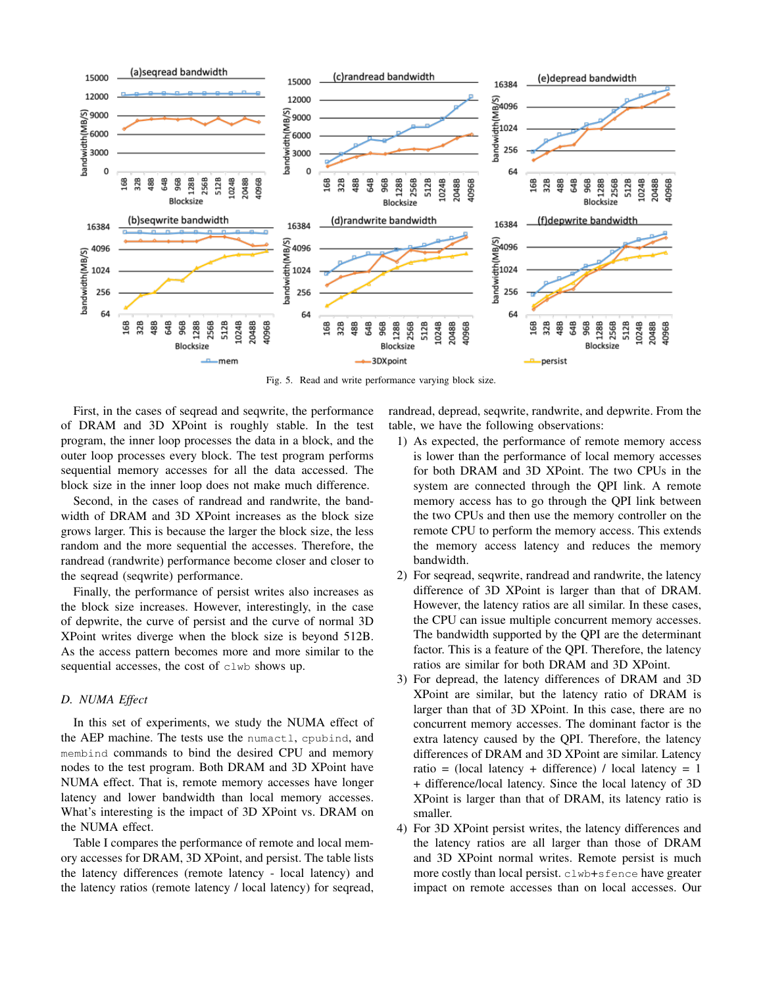

Fig. 5. Read and write performance varying block size.

First, in the cases of seqread and seqwrite, the performance of DRAM and 3D XPoint is roughly stable. In the test program, the inner loop processes the data in a block, and the outer loop processes every block. The test program performs sequential memory accesses for all the data accessed. The block size in the inner loop does not make much difference.

Second, in the cases of randread and randwrite, the bandwidth of DRAM and 3D XPoint increases as the block size grows larger. This is because the larger the block size, the less random and the more sequential the accesses. Therefore, the randread (randwrite) performance become closer and closer to the seqread (seqwrite) performance.

Finally, the performance of persist writes also increases as the block size increases. However, interestingly, in the case of depwrite, the curve of persist and the curve of normal 3D XPoint writes diverge when the block size is beyond 512B. As the access pattern becomes more and more similar to the sequential accesses, the cost of clwb shows up.

# *D. NUMA Effect*

In this set of experiments, we study the NUMA effect of the AEP machine. The tests use the numactl, cpubind, and membind commands to bind the desired CPU and memory nodes to the test program. Both DRAM and 3D XPoint have NUMA effect. That is, remote memory accesses have longer latency and lower bandwidth than local memory accesses. What's interesting is the impact of 3D XPoint vs. DRAM on the NUMA effect.

Table I compares the performance of remote and local memory accesses for DRAM, 3D XPoint, and persist. The table lists the latency differences (remote latency - local latency) and the latency ratios (remote latency / local latency) for seqread, randread, depread, seqwrite, randwrite, and depwrite. From the table, we have the following observations:

- 1) As expected, the performance of remote memory access is lower than the performance of local memory accesses for both DRAM and 3D XPoint. The two CPUs in the system are connected through the QPI link. A remote memory access has to go through the QPI link between the two CPUs and then use the memory controller on the remote CPU to perform the memory access. This extends the memory access latency and reduces the memory bandwidth.
- 2) For seqread, seqwrite, randread and randwrite, the latency difference of 3D XPoint is larger than that of DRAM. However, the latency ratios are all similar. In these cases, the CPU can issue multiple concurrent memory accesses. The bandwidth supported by the QPI are the determinant factor. This is a feature of the QPI. Therefore, the latency ratios are similar for both DRAM and 3D XPoint.
- 3) For depread, the latency differences of DRAM and 3D XPoint are similar, but the latency ratio of DRAM is larger than that of 3D XPoint. In this case, there are no concurrent memory accesses. The dominant factor is the extra latency caused by the QPI. Therefore, the latency differences of DRAM and 3D XPoint are similar. Latency ratio = (local latency + difference) / local latency = 1 + difference/local latency. Since the local latency of 3D XPoint is larger than that of DRAM, its latency ratio is smaller.
- 4) For 3D XPoint persist writes, the latency differences and the latency ratios are all larger than those of DRAM and 3D XPoint normal writes. Remote persist is much more costly than local persist. clwb+sfence have greater impact on remote accesses than on local accesses. Our